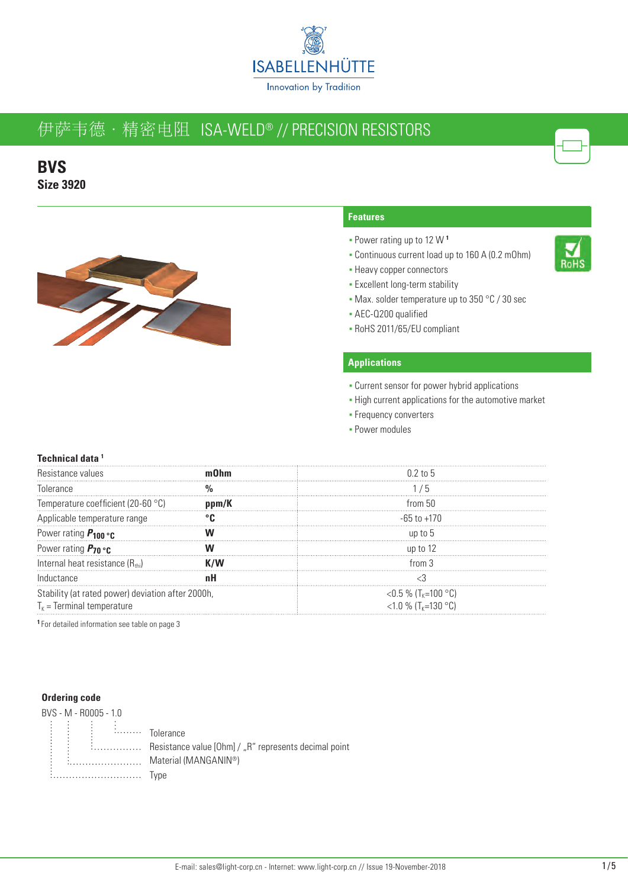

**BVS Size 3920**



### **Features**

- Power rating up to 12 W **<sup>1</sup>**
- Continuous current load up to 160 A (0.2 mOhm)
- **Heavy copper connectors**
- **Excellent long-term stability**
- Max. solder temperature up to 350 °C / 30 sec
- AEC-Q200 qualified
- RoHS 2011/65/EU compliant

### **Applications**

- **Current sensor for power hybrid applications**
- High current applications for the automotive market
- **Frequency converters**
- **Power modules**

### **Technical data 1**

| tance values:                                     |       | $0.2$ to 5                      |  |  |
|---------------------------------------------------|-------|---------------------------------|--|--|
| Tolerance                                         |       | . ხ                             |  |  |
| Temperature coefficient (20-60 °C)                | ppm/K | from 50                         |  |  |
| Applicable temperature range                      |       | -65 to +170                     |  |  |
| Power rating $P_{100}$ or                         |       | un to 5                         |  |  |
| Power rating $P_{70}$ or $\cdot$                  |       | up to 12                        |  |  |
| Internal heat resistance $(R_{\text{th}})$        |       | from $3$                        |  |  |
| Inductance                                        |       |                                 |  |  |
| Stability (at rated power) deviation after 2000h, |       | <0.5 % (T <sub>K</sub> =100 °C) |  |  |
| $T_{K}$ = Terminal temperature                    |       | <1.0 % $(T_{k}=130$ °C)         |  |  |

**<sup>1</sup>**For detailed information see table on page 3

#### **Ordering code**



E................ Resistance value [Ohm] / "R" represents decimal point  $\vdots$  Material (MANGANIN®) Type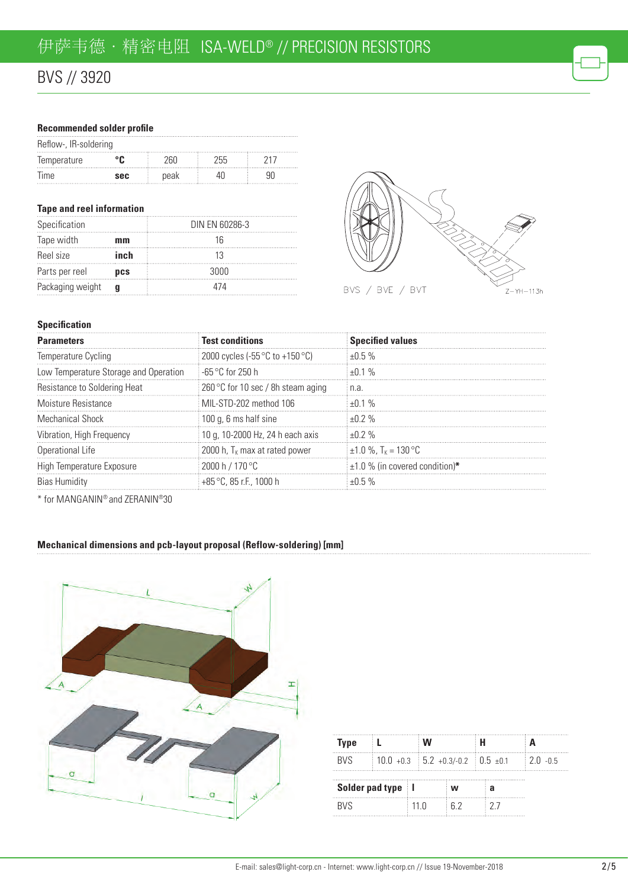# BVS // 3920

### **Recommended solder profile**

| Reflow-, IR-soldering |            |      |    |  |  |  |
|-----------------------|------------|------|----|--|--|--|
| lemperature           |            |      | ハト |  |  |  |
| lime.                 | <b>SAC</b> | peak |    |  |  |  |

### **Tape and reel information**

| Specification    |      | DIN EN 60286-3 |
|------------------|------|----------------|
| Tape width       | mm   | 16             |
| Reel size        | inch | 13             |
| Parts per reel   | DCS  | 3000           |
| Packaging weight |      | 474            |



### **Specification**

| <b>Parameters</b>                     | <b>Test conditions</b>             | <b>Specified values</b>              |  |  |
|---------------------------------------|------------------------------------|--------------------------------------|--|--|
| Temperature Cycling                   | 2000 cycles (-55 °C to +150 °C)    | $+0.5%$                              |  |  |
| Low Temperature Storage and Operation | ⊟-65 °C for 250 h                  | $+0.1\%$                             |  |  |
| Resistance to Soldering Heat          | 260 °C for 10 sec / 8h steam aging | i n.a.                               |  |  |
| Moisture Resistance                   | MIL-STD-202 method 106             | $+0.1\%$                             |  |  |
| Mechanical Shock                      | 100 g, 6 ms half sine              | $+0.2\%$                             |  |  |
| Vibration, High Frequency             | 10 g, 10-2000 Hz, 24 h each axis   | $+0.2\%$                             |  |  |
| Operational Life                      | 2000 h, $T_{K}$ max at rated power | $\pm 1.0$ %. T <sub>K</sub> = 130 °C |  |  |
| High Temperature Exposure             | 2000 h / 170 °C                    | $\pm$ 1.0 % (in covered condition)*  |  |  |
| <b>Blas Humidity</b>                  | $+85$ °C, 85 r.F., 1000 h          |                                      |  |  |

\* for MANGANIN® and ZERANIN®30

### **Mechanical dimensions and pcb-layout proposal (Reflow-soldering) [mm]**



| <b>Type</b>         |  |      | W                                   |                | Н |    |             |
|---------------------|--|------|-------------------------------------|----------------|---|----|-------------|
| <b>BVS</b>          |  |      | $10.0 + 0.3$ 5.2 +0.3/-0.2 0.5 ±0.1 |                |   |    | $2.0 - 0.5$ |
| Solder pad type   I |  |      |                                     | W              |   | ิล |             |
| <b>RVS</b>          |  | 11 N |                                     | 6 <sup>2</sup> |   | 77 |             |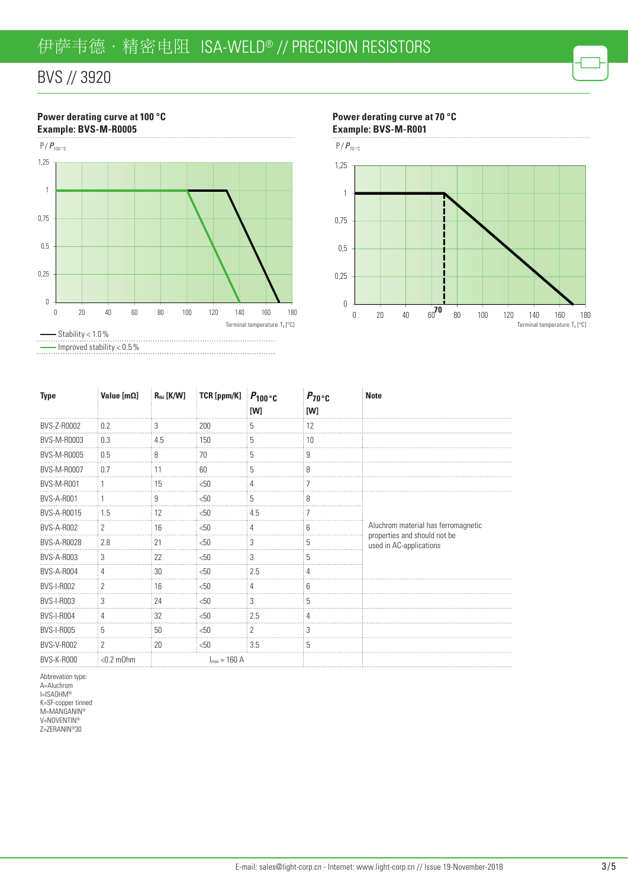# BVS // 3920

### **Power derating curve at 100 °C Example: BVS-M-R0005**



**Power derating curve at 70 °C Example: BVS-M-R001**

 $\ddot{\phantom{a}}$ 



| Type               | Value [m $\Omega$ ] | $R_{\text{thi}}$ [K/W] | : TCR [ppm/K] $P_{100}$ °C |     | $P_{70}$ °C | <b>Note</b>                                             |
|--------------------|---------------------|------------------------|----------------------------|-----|-------------|---------------------------------------------------------|
|                    |                     |                        |                            | [W] | [W]         |                                                         |
| BVS-Z-R0002        | 0.2                 |                        | 200                        |     | 12          |                                                         |
| BVS-M-R0003        | 0.3                 | 4.5                    | 150                        |     | 10          |                                                         |
| BVS-M-R0005        | 0.5                 | ŏ                      | 70                         | b   |             |                                                         |
| <b>BVS-M-R0007</b> | 0.7                 | Н                      | 60                         | h.  |             |                                                         |
| <b>BVS-M-R001</b>  |                     | 15                     | < 50                       | 4   |             |                                                         |
| <b>BVS-A-R001</b>  |                     | 9                      | < 50                       | 5   | ጸ           |                                                         |
| BVS-A-R0015        | 1.5                 | 12                     | < 50                       | 4.5 |             |                                                         |
| <b>BVS-A-R002</b>  | 2                   | 16                     | < 50                       |     | ĥ           | Aluchrom material has ferromagnetic                     |
| <b>BVS-A-R0028</b> | 2.8                 | 21                     | < 50                       |     |             | properties and should not be<br>used in AC-applications |
| <b>BVS-A-R003</b>  | 3                   | 22                     | $<$ 50                     | 3   |             |                                                         |
| <b>BVS-A-R004</b>  | 4                   | 30                     | < 50                       | 2.5 |             |                                                         |
| <b>BVS-I-R002</b>  | 2                   | 16                     | < 50                       | 4   | ĥ           |                                                         |
| <b>BVS-I-R003</b>  | 3                   | 24                     | < 50                       |     |             |                                                         |
| <b>BVS-I-R004</b>  |                     | 32                     | < 50                       | 2.5 |             |                                                         |
| <b>BVS-I-R005</b>  | 5                   | 50                     | < 50                       | 2   | n           |                                                         |
| <b>BVS-V-R002</b>  | 2                   | 20                     | $<$ 50                     | 3.5 | 5           |                                                         |

Abbrevation type: A=Aluchrom I=ISAOHM® K=SF-copper tinned M=MANGANIN® V=NOVENTIN® Z=ZERANIN®30

BVS-K-R000  $\leq 0.2 \text{ mOhm}$  I<sub>max</sub> = 160 A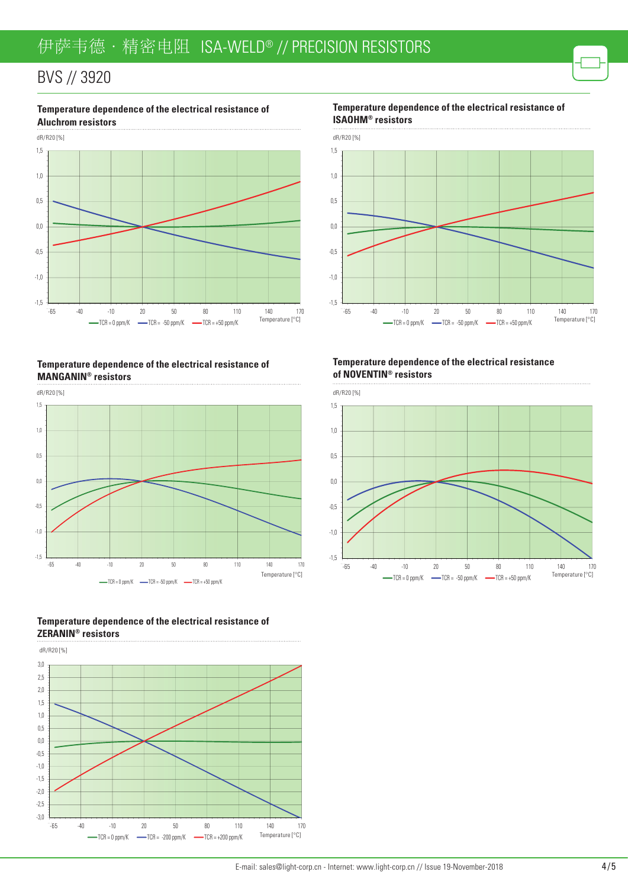## BVS // 3920



**Temperature dependence of the electrical resistance of** 

### **Temperature dependence of the electrical resistance of MANGANIN® resistors**









**Temperature dependence of the electrical resistance of ISAOHM® resistors**



### **Temperature dependence of the electrical resistance of NOVENTIN® resistors**